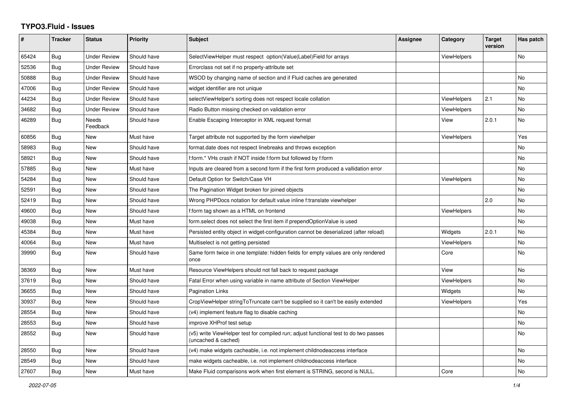## **TYPO3.Fluid - Issues**

| #     | Tracker    | <b>Status</b>            | <b>Priority</b> | Subject                                                                                                     | Assignee | Category           | <b>Target</b><br>version | Has patch |
|-------|------------|--------------------------|-----------------|-------------------------------------------------------------------------------------------------------------|----------|--------------------|--------------------------|-----------|
| 65424 | Bug        | <b>Under Review</b>      | Should have     | SelectViewHelper must respect option(Value Label)Field for arrays                                           |          | ViewHelpers        |                          | <b>No</b> |
| 52536 | Bug        | <b>Under Review</b>      | Should have     | Errorclass not set if no property-attribute set                                                             |          |                    |                          |           |
| 50888 | Bug        | <b>Under Review</b>      | Should have     | WSOD by changing name of section and if Fluid caches are generated                                          |          |                    |                          | No        |
| 47006 | Bug        | <b>Under Review</b>      | Should have     | widget identifier are not unique                                                                            |          |                    |                          | No        |
| 44234 | Bug        | <b>Under Review</b>      | Should have     | selectViewHelper's sorting does not respect locale collation                                                |          | ViewHelpers        | 2.1                      | No        |
| 34682 | Bug        | <b>Under Review</b>      | Should have     | Radio Button missing checked on validation error                                                            |          | ViewHelpers        |                          | <b>No</b> |
| 46289 | Bug        | <b>Needs</b><br>Feedback | Should have     | Enable Escaping Interceptor in XML request format                                                           |          | View               | 2.0.1                    | <b>No</b> |
| 60856 | Bug        | New                      | Must have       | Target attribute not supported by the form viewhelper                                                       |          | ViewHelpers        |                          | Yes       |
| 58983 | Bug        | <b>New</b>               | Should have     | format.date does not respect linebreaks and throws exception                                                |          |                    |                          | No        |
| 58921 | Bug        | New                      | Should have     | f:form.* VHs crash if NOT inside f:form but followed by f:form                                              |          |                    |                          | No        |
| 57885 | <b>Bug</b> | <b>New</b>               | Must have       | Inputs are cleared from a second form if the first form produced a vallidation error                        |          |                    |                          | <b>No</b> |
| 54284 | Bug        | <b>New</b>               | Should have     | Default Option for Switch/Case VH                                                                           |          | ViewHelpers        |                          | <b>No</b> |
| 52591 | Bug        | New                      | Should have     | The Pagination Widget broken for joined objects                                                             |          |                    |                          | No        |
| 52419 | Bug        | New                      | Should have     | Wrong PHPDocs notation for default value inline f:translate viewhelper                                      |          |                    | 2.0                      | No        |
| 49600 | <b>Bug</b> | <b>New</b>               | Should have     | f:form tag shown as a HTML on frontend                                                                      |          | ViewHelpers        |                          | <b>No</b> |
| 49038 | Bug        | <b>New</b>               | Must have       | form.select does not select the first item if prependOptionValue is used                                    |          |                    |                          | <b>No</b> |
| 45384 | Bug        | New                      | Must have       | Persisted entity object in widget-configuration cannot be deserialized (after reload)                       |          | Widgets            | 2.0.1                    | <b>No</b> |
| 40064 | Bug        | New                      | Must have       | Multiselect is not getting persisted                                                                        |          | ViewHelpers        |                          | No        |
| 39990 | Bug        | <b>New</b>               | Should have     | Same form twice in one template: hidden fields for empty values are only rendered<br>once                   |          | Core               |                          | <b>No</b> |
| 38369 | Bug        | <b>New</b>               | Must have       | Resource ViewHelpers should not fall back to request package                                                |          | View               |                          | <b>No</b> |
| 37619 | Bug        | <b>New</b>               | Should have     | Fatal Error when using variable in name attribute of Section ViewHelper                                     |          | <b>ViewHelpers</b> |                          | <b>No</b> |
| 36655 | Bug        | New                      | Should have     | <b>Pagination Links</b>                                                                                     |          | Widgets            |                          | No        |
| 30937 | Bug        | New                      | Should have     | CropViewHelper stringToTruncate can't be supplied so it can't be easily extended                            |          | <b>ViewHelpers</b> |                          | Yes       |
| 28554 | Bug        | New                      | Should have     | (v4) implement feature flag to disable caching                                                              |          |                    |                          | No        |
| 28553 | <b>Bug</b> | New                      | Should have     | improve XHProf test setup                                                                                   |          |                    |                          | <b>No</b> |
| 28552 | Bug        | New                      | Should have     | (v5) write ViewHelper test for compiled run; adjust functional test to do two passes<br>(uncached & cached) |          |                    |                          | No        |
| 28550 | Bug        | <b>New</b>               | Should have     | (v4) make widgets cacheable, i.e. not implement childnodeaccess interface                                   |          |                    |                          | No        |
| 28549 | Bug        | <b>New</b>               | Should have     | make widgets cacheable, i.e. not implement childnodeaccess interface                                        |          |                    |                          | <b>No</b> |
| 27607 | Bug        | New                      | Must have       | Make Fluid comparisons work when first element is STRING, second is NULL.                                   |          | Core               |                          | No        |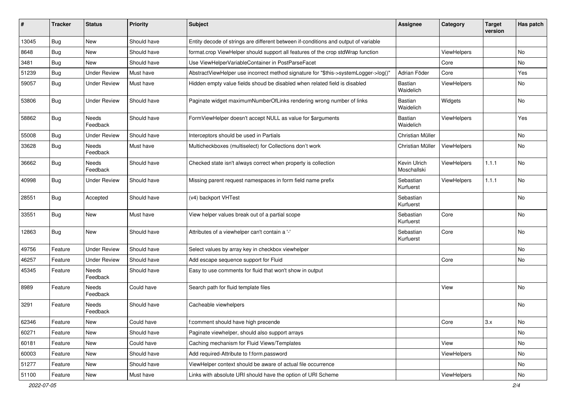| #     | <b>Tracker</b> | <b>Status</b>            | <b>Priority</b> | Subject                                                                             | <b>Assignee</b>             | Category           | <b>Target</b><br>version | Has patch |
|-------|----------------|--------------------------|-----------------|-------------------------------------------------------------------------------------|-----------------------------|--------------------|--------------------------|-----------|
| 13045 | Bug            | New                      | Should have     | Entity decode of strings are different between if-conditions and output of variable |                             |                    |                          |           |
| 8648  | Bug            | New                      | Should have     | format.crop ViewHelper should support all features of the crop stdWrap function     |                             | ViewHelpers        |                          | No.       |
| 3481  | Bug            | New                      | Should have     | Use ViewHelperVariableContainer in PostParseFacet                                   |                             | Core               |                          | No        |
| 51239 | Bug            | <b>Under Review</b>      | Must have       | AbstractViewHelper use incorrect method signature for "\$this->systemLogger->log()" | Adrian Föder                | Core               |                          | Yes       |
| 59057 | <b>Bug</b>     | <b>Under Review</b>      | Must have       | Hidden empty value fields shoud be disabled when related field is disabled          | Bastian<br>Waidelich        | ViewHelpers        |                          | No        |
| 53806 | <b>Bug</b>     | <b>Under Review</b>      | Should have     | Paginate widget maximumNumberOfLinks rendering wrong number of links                | Bastian<br>Waidelich        | Widgets            |                          | No        |
| 58862 | Bug            | <b>Needs</b><br>Feedback | Should have     | FormViewHelper doesn't accept NULL as value for \$arguments                         | <b>Bastian</b><br>Waidelich | <b>ViewHelpers</b> |                          | Yes       |
| 55008 | Bug            | <b>Under Review</b>      | Should have     | Interceptors should be used in Partials                                             | Christian Müller            |                    |                          | <b>No</b> |
| 33628 | <b>Bug</b>     | <b>Needs</b><br>Feedback | Must have       | Multicheckboxes (multiselect) for Collections don't work                            | Christian Müller            | ViewHelpers        |                          | No        |
| 36662 | <b>Bug</b>     | Needs<br>Feedback        | Should have     | Checked state isn't always correct when property is collection                      | Kevin Ulrich<br>Moschallski | ViewHelpers        | 1.1.1                    | No        |
| 40998 | Bug            | <b>Under Review</b>      | Should have     | Missing parent request namespaces in form field name prefix                         | Sebastian<br>Kurfuerst      | ViewHelpers        | 1.1.1                    | No        |
| 28551 | <b>Bug</b>     | Accepted                 | Should have     | (v4) backport VHTest                                                                | Sebastian<br>Kurfuerst      |                    |                          | No        |
| 33551 | <b>Bug</b>     | <b>New</b>               | Must have       | View helper values break out of a partial scope                                     | Sebastian<br>Kurfuerst      | Core               |                          | <b>No</b> |
| 12863 | Bug            | New                      | Should have     | Attributes of a viewhelper can't contain a '-'                                      | Sebastian<br>Kurfuerst      | Core               |                          | No        |
| 49756 | Feature        | <b>Under Review</b>      | Should have     | Select values by array key in checkbox viewhelper                                   |                             |                    |                          | No.       |
| 46257 | Feature        | <b>Under Review</b>      | Should have     | Add escape sequence support for Fluid                                               |                             | Core               |                          | No        |
| 45345 | Feature        | Needs<br>Feedback        | Should have     | Easy to use comments for fluid that won't show in output                            |                             |                    |                          |           |
| 8989  | Feature        | <b>Needs</b><br>Feedback | Could have      | Search path for fluid template files                                                |                             | View               |                          | No        |
| 3291  | Feature        | Needs<br>Feedback        | Should have     | Cacheable viewhelpers                                                               |                             |                    |                          | No        |
| 62346 | Feature        | New                      | Could have      | f:comment should have high precende                                                 |                             | Core               | 3.x                      | No        |
| 60271 | Feature        | New                      | Should have     | Paginate viewhelper, should also support arrays                                     |                             |                    |                          | No        |
| 60181 | Feature        | New                      | Could have      | Caching mechanism for Fluid Views/Templates                                         |                             | View               |                          | No        |
| 60003 | Feature        | New                      | Should have     | Add required-Attribute to f:form.password                                           |                             | ViewHelpers        |                          | No        |
| 51277 | Feature        | New                      | Should have     | ViewHelper context should be aware of actual file occurrence                        |                             |                    |                          | No        |
| 51100 | Feature        | New                      | Must have       | Links with absolute URI should have the option of URI Scheme                        |                             | ViewHelpers        |                          | No        |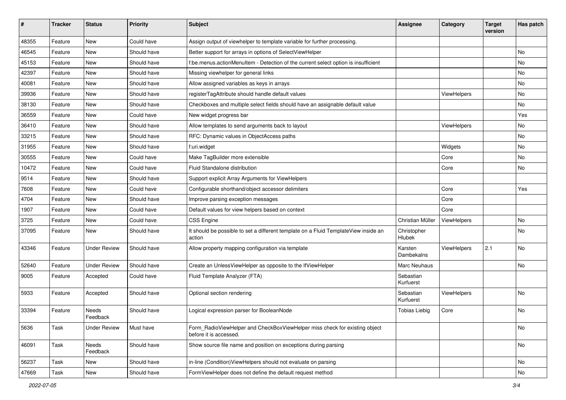| #     | <b>Tracker</b> | <b>Status</b>       | <b>Priority</b> | <b>Subject</b>                                                                                       | <b>Assignee</b>        | Category           | <b>Target</b><br>version | Has patch |
|-------|----------------|---------------------|-----------------|------------------------------------------------------------------------------------------------------|------------------------|--------------------|--------------------------|-----------|
| 48355 | Feature        | New                 | Could have      | Assign output of viewhelper to template variable for further processing.                             |                        |                    |                          |           |
| 46545 | Feature        | New                 | Should have     | Better support for arrays in options of SelectViewHelper                                             |                        |                    |                          | No        |
| 45153 | Feature        | New                 | Should have     | f:be.menus.actionMenuItem - Detection of the current select option is insufficient                   |                        |                    |                          | No        |
| 42397 | Feature        | New                 | Should have     | Missing viewhelper for general links                                                                 |                        |                    |                          | No        |
| 40081 | Feature        | New                 | Should have     | Allow assigned variables as keys in arrays                                                           |                        |                    |                          | No        |
| 39936 | Feature        | <b>New</b>          | Should have     | registerTagAttribute should handle default values                                                    |                        | ViewHelpers        |                          | No        |
| 38130 | Feature        | New                 | Should have     | Checkboxes and multiple select fields should have an assignable default value                        |                        |                    |                          | No        |
| 36559 | Feature        | New                 | Could have      | New widget progress bar                                                                              |                        |                    |                          | Yes       |
| 36410 | Feature        | New                 | Should have     | Allow templates to send arguments back to layout                                                     |                        | ViewHelpers        |                          | No        |
| 33215 | Feature        | New                 | Should have     | RFC: Dynamic values in ObjectAccess paths                                                            |                        |                    |                          | No        |
| 31955 | Feature        | New                 | Should have     | f:uri.widget                                                                                         |                        | Widgets            |                          | No        |
| 30555 | Feature        | New                 | Could have      | Make TagBuilder more extensible                                                                      |                        | Core               |                          | No        |
| 10472 | Feature        | New                 | Could have      | Fluid Standalone distribution                                                                        |                        | Core               |                          | No        |
| 9514  | Feature        | New                 | Should have     | Support explicit Array Arguments for ViewHelpers                                                     |                        |                    |                          |           |
| 7608  | Feature        | New                 | Could have      | Configurable shorthand/object accessor delimiters                                                    |                        | Core               |                          | Yes       |
| 4704  | Feature        | New                 | Should have     | Improve parsing exception messages                                                                   |                        | Core               |                          |           |
| 1907  | Feature        | New                 | Could have      | Default values for view helpers based on context                                                     |                        | Core               |                          |           |
| 3725  | Feature        | New                 | Could have      | CSS Engine                                                                                           | Christian Müller       | ViewHelpers        |                          | No        |
| 37095 | Feature        | New                 | Should have     | It should be possible to set a different template on a Fluid TemplateView inside an<br>action        | Christopher<br>Hlubek  |                    |                          | No        |
| 43346 | Feature        | <b>Under Review</b> | Should have     | Allow property mapping configuration via template                                                    | Karsten<br>Dambekalns  | ViewHelpers        | 2.1                      | No        |
| 52640 | Feature        | <b>Under Review</b> | Should have     | Create an UnlessViewHelper as opposite to the IfViewHelper                                           | Marc Neuhaus           |                    |                          | No        |
| 9005  | Feature        | Accepted            | Could have      | Fluid Template Analyzer (FTA)                                                                        | Sebastian<br>Kurfuerst |                    |                          |           |
| 5933  | Feature        | Accepted            | Should have     | Optional section rendering                                                                           | Sebastian<br>Kurfuerst | <b>ViewHelpers</b> |                          | No        |
| 33394 | Feature        | Needs<br>Feedback   | Should have     | Logical expression parser for BooleanNode                                                            | <b>Tobias Liebig</b>   | Core               |                          | <b>No</b> |
| 5636  | Task           | <b>Under Review</b> | Must have       | Form_RadioViewHelper and CheckBoxViewHelper miss check for existing object<br>before it is accessed. |                        |                    |                          | No        |
| 46091 | Task           | Needs<br>Feedback   | Should have     | Show source file name and position on exceptions during parsing                                      |                        |                    |                          | No        |
| 56237 | Task           | New                 | Should have     | in-line (Condition) ViewHelpers should not evaluate on parsing                                       |                        |                    |                          | No        |
| 47669 | Task           | New                 | Should have     | FormViewHelper does not define the default request method                                            |                        |                    |                          | No        |